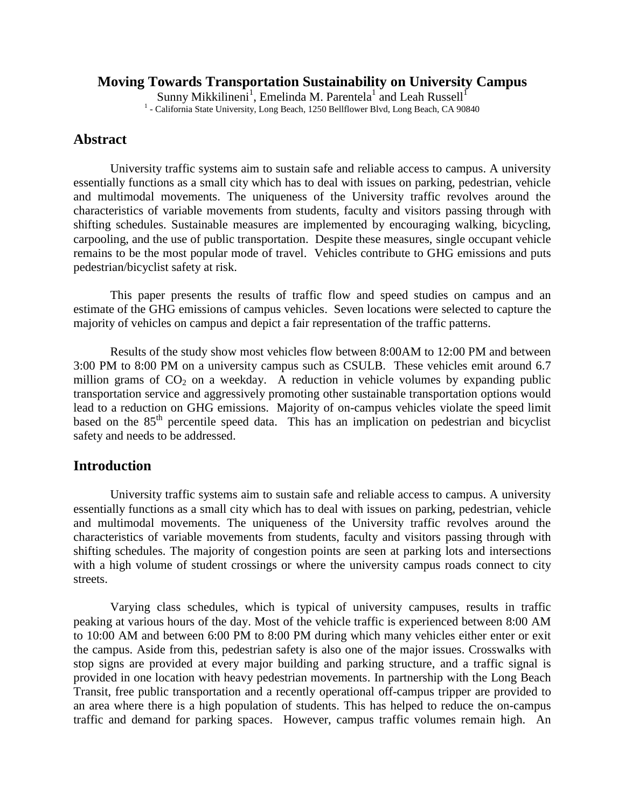#### **Moving Towards Transportation Sustainability on University Campus**

Sunny Mikkilineni<sup>1</sup>, Emelinda M. Parentela<sup>1</sup> and Leah Russell<sup>1</sup> <sup>1</sup> - California State University, Long Beach, 1250 Bellflower Blvd, Long Beach, CA 90840

### **Abstract**

University traffic systems aim to sustain safe and reliable access to campus. A university essentially functions as a small city which has to deal with issues on parking, pedestrian, vehicle and multimodal movements. The uniqueness of the University traffic revolves around the characteristics of variable movements from students, faculty and visitors passing through with shifting schedules. Sustainable measures are implemented by encouraging walking, bicycling, carpooling, and the use of public transportation. Despite these measures, single occupant vehicle remains to be the most popular mode of travel. Vehicles contribute to GHG emissions and puts pedestrian/bicyclist safety at risk.

This paper presents the results of traffic flow and speed studies on campus and an estimate of the GHG emissions of campus vehicles. Seven locations were selected to capture the majority of vehicles on campus and depict a fair representation of the traffic patterns.

Results of the study show most vehicles flow between 8:00AM to 12:00 PM and between 3:00 PM to 8:00 PM on a university campus such as CSULB. These vehicles emit around 6.7 million grams of  $CO<sub>2</sub>$  on a weekday. A reduction in vehicle volumes by expanding public transportation service and aggressively promoting other sustainable transportation options would lead to a reduction on GHG emissions. Majority of on-campus vehicles violate the speed limit based on the 85<sup>th</sup> percentile speed data. This has an implication on pedestrian and bicyclist safety and needs to be addressed.

### **Introduction**

University traffic systems aim to sustain safe and reliable access to campus. A university essentially functions as a small city which has to deal with issues on parking, pedestrian, vehicle and multimodal movements. The uniqueness of the University traffic revolves around the characteristics of variable movements from students, faculty and visitors passing through with shifting schedules. The majority of congestion points are seen at parking lots and intersections with a high volume of student crossings or where the university campus roads connect to city streets.

Varying class schedules, which is typical of university campuses, results in traffic peaking at various hours of the day. Most of the vehicle traffic is experienced between 8:00 AM to 10:00 AM and between 6:00 PM to 8:00 PM during which many vehicles either enter or exit the campus. Aside from this, pedestrian safety is also one of the major issues. Crosswalks with stop signs are provided at every major building and parking structure, and a traffic signal is provided in one location with heavy pedestrian movements. In partnership with the Long Beach Transit, free public transportation and a recently operational off-campus tripper are provided to an area where there is a high population of students. This has helped to reduce the on-campus traffic and demand for parking spaces. However, campus traffic volumes remain high. An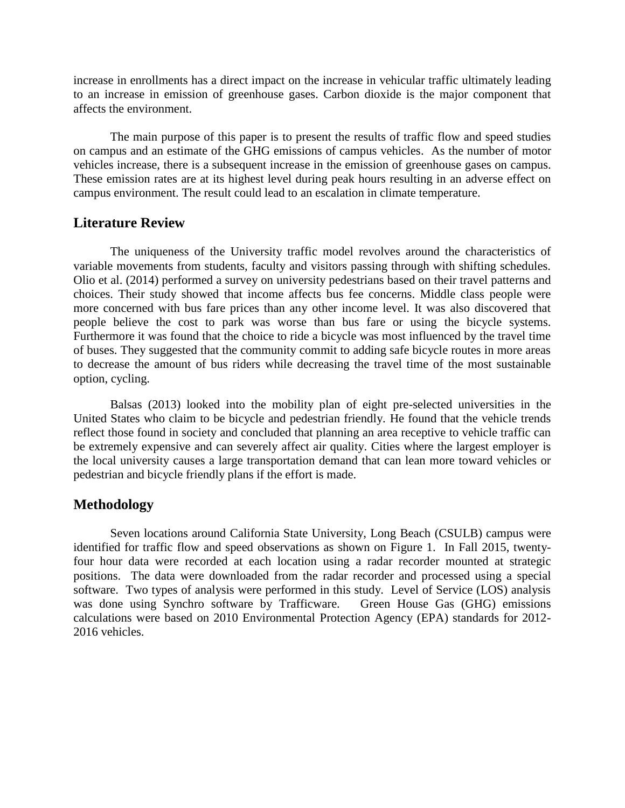increase in enrollments has a direct impact on the increase in vehicular traffic ultimately leading to an increase in emission of greenhouse gases. Carbon dioxide is the major component that affects the environment.

The main purpose of this paper is to present the results of traffic flow and speed studies on campus and an estimate of the GHG emissions of campus vehicles. As the number of motor vehicles increase, there is a subsequent increase in the emission of greenhouse gases on campus. These emission rates are at its highest level during peak hours resulting in an adverse effect on campus environment. The result could lead to an escalation in climate temperature.

### **Literature Review**

The uniqueness of the University traffic model revolves around the characteristics of variable movements from students, faculty and visitors passing through with shifting schedules. Olio et al. (2014) performed a survey on university pedestrians based on their travel patterns and choices. Their study showed that income affects bus fee concerns. Middle class people were more concerned with bus fare prices than any other income level. It was also discovered that people believe the cost to park was worse than bus fare or using the bicycle systems. Furthermore it was found that the choice to ride a bicycle was most influenced by the travel time of buses. They suggested that the community commit to adding safe bicycle routes in more areas to decrease the amount of bus riders while decreasing the travel time of the most sustainable option, cycling.

Balsas (2013) looked into the mobility plan of eight pre-selected universities in the United States who claim to be bicycle and pedestrian friendly. He found that the vehicle trends reflect those found in society and concluded that planning an area receptive to vehicle traffic can be extremely expensive and can severely affect air quality. Cities where the largest employer is the local university causes a large transportation demand that can lean more toward vehicles or pedestrian and bicycle friendly plans if the effort is made.

## **Methodology**

Seven locations around California State University, Long Beach (CSULB) campus were identified for traffic flow and speed observations as shown on Figure 1. In Fall 2015, twentyfour hour data were recorded at each location using a radar recorder mounted at strategic positions. The data were downloaded from the radar recorder and processed using a special software. Two types of analysis were performed in this study. Level of Service (LOS) analysis was done using Synchro software by Trafficware. Green House Gas (GHG) emissions calculations were based on 2010 Environmental Protection Agency (EPA) standards for 2012- 2016 vehicles.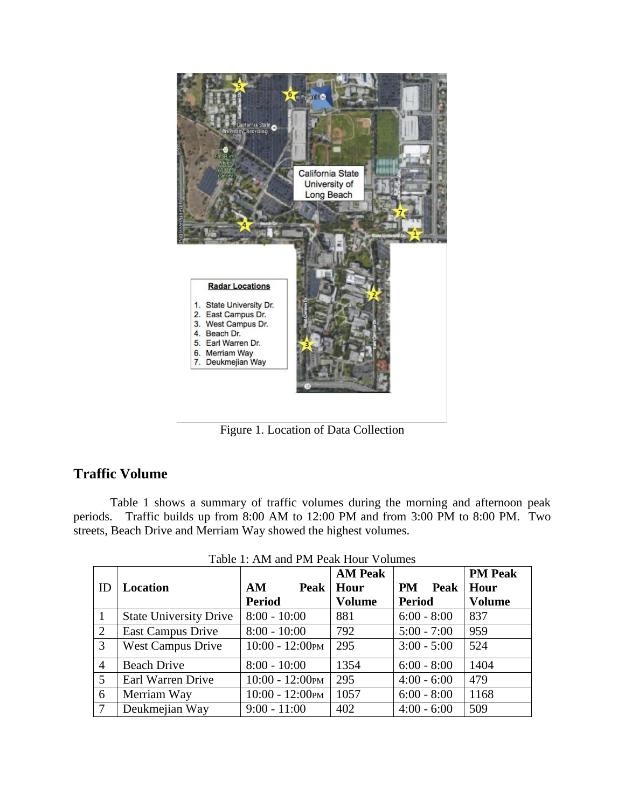

Figure 1. Location of Data Collection

# **Traffic Volume**

Table 1 shows a summary of traffic volumes during the morning and afternoon peak periods. Traffic builds up from 8:00 AM to 12:00 PM and from 3:00 PM to 8:00 PM. Two streets, Beach Drive and Merriam Way showed the highest volumes.

|                 |                               |                    | <b>AM Peak</b> |                   | <b>PM Peak</b> |
|-----------------|-------------------------------|--------------------|----------------|-------------------|----------------|
| ID              | <b>Location</b>               | <b>Peak</b><br>AM  | Hour           | <b>PM</b><br>Peak | Hour           |
|                 |                               | <b>Period</b>      | <b>Volume</b>  | <b>Period</b>     | <b>Volume</b>  |
| -1              | <b>State University Drive</b> | $8:00 - 10:00$     | 881            | $6:00 - 8:00$     | 837            |
| 2               | <b>East Campus Drive</b>      | $8:00 - 10:00$     | 792            | $5:00 - 7:00$     | 959            |
| $\overline{3}$  | <b>West Campus Drive</b>      | $10:00 - 12:00$ PM | 295            | $3:00 - 5:00$     | 524            |
| $\overline{4}$  | <b>Beach Drive</b>            | $8:00 - 10:00$     | 1354           | $6:00 - 8:00$     | 1404           |
| $5\overline{)}$ | Earl Warren Drive             | $10:00 - 12:00$ PM | 295            | $4:00 - 6:00$     | 479            |
| 6               | Merriam Way                   | $10:00 - 12:00$ PM | 1057           | $6:00 - 8:00$     | 1168           |
| $\overline{7}$  | Deukmejian Way                | $9:00 - 11:00$     | 402            | $4:00 - 6:00$     | 509            |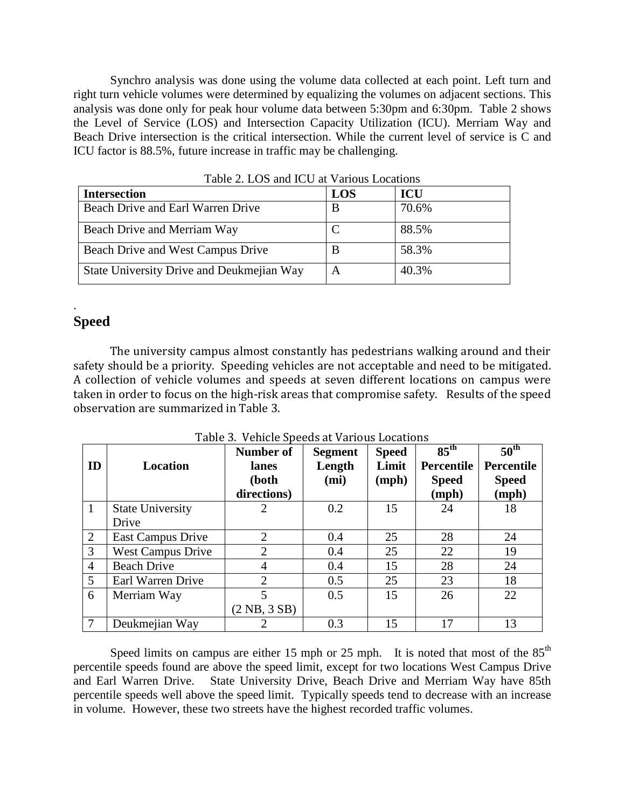Synchro analysis was done using the volume data collected at each point. Left turn and right turn vehicle volumes were determined by equalizing the volumes on adjacent sections. This analysis was done only for peak hour volume data between 5:30pm and 6:30pm. Table 2 shows the Level of Service (LOS) and Intersection Capacity Utilization (ICU). Merriam Way and Beach Drive intersection is the critical intersection. While the current level of service is C and ICU factor is 88.5%, future increase in traffic may be challenging.

| <b>Intersection</b>                       | <b>LOS</b> | <b>ICU</b> |
|-------------------------------------------|------------|------------|
| Beach Drive and Earl Warren Drive         | B          | 70.6%      |
| Beach Drive and Merriam Way               |            | 88.5%      |
| Beach Drive and West Campus Drive         | B          | 58.3%      |
| State University Drive and Deukmejian Way | A          | 40.3%      |

Table 2. LOS and ICU at Various Locations

# **Speed**

.

The university campus almost constantly has pedestrians walking around and their safety should be a priority. Speeding vehicles are not acceptable and need to be mitigated. A collection of vehicle volumes and speeds at seven different locations on campus were taken in order to focus on the high-risk areas that compromise safety. Results of the speed observation are summarized in Table 3.

| ID             | Location                         | Number of<br>lanes<br>(both<br>directions) | <b>Segment</b><br>Length<br>(mi) | <b>Speed</b><br>Limit<br>(mph) | 85 <sup>th</sup><br><b>Percentile</b><br><b>Speed</b><br>(mph) | $50^{\text{th}}$<br><b>Percentile</b><br><b>Speed</b><br>(mph) |
|----------------|----------------------------------|--------------------------------------------|----------------------------------|--------------------------------|----------------------------------------------------------------|----------------------------------------------------------------|
| $\mathbf{1}$   | <b>State University</b><br>Drive | 2                                          | 0.2                              | 15                             | 24                                                             | 18                                                             |
| 2              | <b>East Campus Drive</b>         | $\overline{2}$                             | 0.4                              | 25                             | 28                                                             | 24                                                             |
| 3              | <b>West Campus Drive</b>         | 2                                          | 0.4                              | 25                             | 22                                                             | 19                                                             |
| $\overline{4}$ | <b>Beach Drive</b>               | 4                                          | 0.4                              | 15                             | 28                                                             | 24                                                             |
| 5              | Earl Warren Drive                | 2                                          | 0.5                              | 25                             | 23                                                             | 18                                                             |
| 6              | Merriam Way                      | 5                                          | 0.5                              | 15                             | 26                                                             | 22                                                             |
|                |                                  | $(2 \text{ NB}, 3 \text{ SB})$             |                                  |                                |                                                                |                                                                |
|                | Deukmejian Way                   | 2                                          | 0.3                              | 15                             | 17                                                             | 13                                                             |

Table 3. Vehicle Speeds at Various Locations

Speed limits on campus are either 15 mph or 25 mph. It is noted that most of the  $85<sup>th</sup>$ percentile speeds found are above the speed limit, except for two locations West Campus Drive and Earl Warren Drive. State University Drive, Beach Drive and Merriam Way have 85th percentile speeds well above the speed limit. Typically speeds tend to decrease with an increase in volume. However, these two streets have the highest recorded traffic volumes.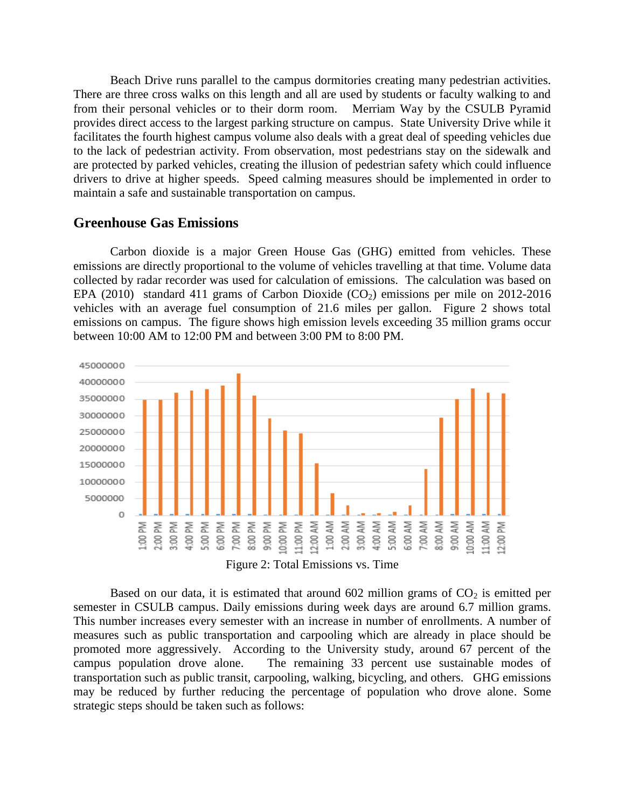Beach Drive runs parallel to the campus dormitories creating many pedestrian activities. There are three cross walks on this length and all are used by students or faculty walking to and from their personal vehicles or to their dorm room. Merriam Way by the CSULB Pyramid provides direct access to the largest parking structure on campus. State University Drive while it facilitates the fourth highest campus volume also deals with a great deal of speeding vehicles due to the lack of pedestrian activity. From observation, most pedestrians stay on the sidewalk and are protected by parked vehicles, creating the illusion of pedestrian safety which could influence drivers to drive at higher speeds. Speed calming measures should be implemented in order to maintain a safe and sustainable transportation on campus.

#### **Greenhouse Gas Emissions**

Carbon dioxide is a major Green House Gas (GHG) emitted from vehicles. These emissions are directly proportional to the volume of vehicles travelling at that time. Volume data collected by radar recorder was used for calculation of emissions. The calculation was based on EPA (2010) standard 411 grams of Carbon Dioxide ( $CO<sub>2</sub>$ ) emissions per mile on 2012-2016 vehicles with an average fuel consumption of 21.6 miles per gallon. Figure 2 shows total emissions on campus. The figure shows high emission levels exceeding 35 million grams occur between 10:00 AM to 12:00 PM and between 3:00 PM to 8:00 PM.



Figure 2: Total Emissions vs. Time

Based on our data, it is estimated that around  $602$  million grams of  $CO<sub>2</sub>$  is emitted per semester in CSULB campus. Daily emissions during week days are around 6.7 million grams. This number increases every semester with an increase in number of enrollments. A number of measures such as public transportation and carpooling which are already in place should be promoted more aggressively. According to the University study, around 67 percent of the campus population drove alone. The remaining 33 percent use sustainable modes of transportation such as public transit, carpooling, walking, bicycling, and others. GHG emissions may be reduced by further reducing the percentage of population who drove alone. Some strategic steps should be taken such as follows: